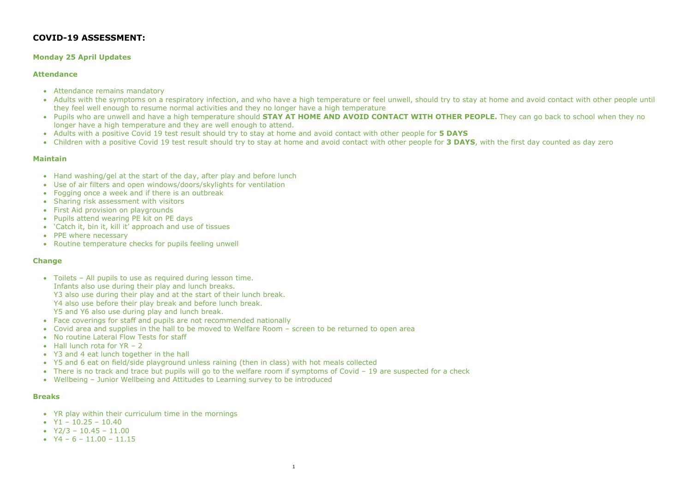# COVID-19 ASSESSMENT:

- Attendance remains mandatory
- Adults with the symptoms on a respiratory infection, and who have a high temperature or feel unwell, should try to stay at home and avoid contact with other people until they feel well enough to resume normal activities and they no longer have a high temperature
- Pupils who are unwell and have a high temperature should STAY AT HOME AND AVOID CONTACT WITH OTHER PEOPLE. They can go back to school when they no longer have a high temperature and they are well enough to attend.
- Adults with a positive Covid 19 test result should try to stay at home and avoid contact with other people for 5 DAYS
- Children with a positive Covid 19 test result should try to stay at home and avoid contact with other people for 3 DAYS, with the first day counted as day zero

## Monday 25 April Updates

#### Attendance

#### Maintain

- Hand washing/gel at the start of the day, after play and before lunch
- Use of air filters and open windows/doors/skylights for ventilation
- Fogging once a week and if there is an outbreak
- Sharing risk assessment with visitors
- First Aid provision on playgrounds
- Pupils attend wearing PE kit on PE days
- 'Catch it, bin it, kill it' approach and use of tissues
- PPE where necessary
- Routine temperature checks for pupils feeling unwell

- YR play within their curriculum time in the mornings
- $Y1 10.25 10.40$
- $Y2/3 10.45 11.00$
- $Y4 6 11.00 11.15$

#### Change

- Toilets All pupils to use as required during lesson time. Infants also use during their play and lunch breaks. Y3 also use during their play and at the start of their lunch break. Y4 also use before their play break and before lunch break. Y5 and Y6 also use during play and lunch break.
- Face coverings for staff and pupils are not recommended nationally
- Covid area and supplies in the hall to be moved to Welfare Room screen to be returned to open area
- No routine Lateral Flow Tests for staff
- $\bullet$  Hall lunch rota for YR 2
- Y3 and 4 eat lunch together in the hall
- Y5 and 6 eat on field/side playground unless raining (then in class) with hot meals collected
- There is no track and trace but pupils will go to the welfare room if symptoms of Covid 19 are suspected for a check
- Wellbeing Junior Wellbeing and Attitudes to Learning survey to be introduced

#### Breaks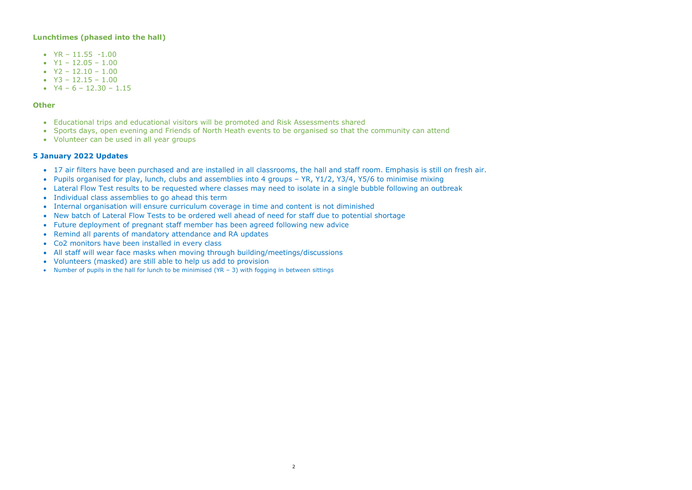## Lunchtimes (phased into the hall)

- $YR 11.55 1.00$
- $Y1 12.05 1.00$
- $Y2 12.10 1.00$
- $\bullet$  Y3 12.15 1.00
- $Y4 6 12.30 1.15$

#### **Other**

- 17 air filters have been purchased and are installed in all classrooms, the hall and staff room. Emphasis is still on fresh air.
- Pupils organised for play, lunch, clubs and assemblies into 4 groups YR, Y1/2, Y3/4, Y5/6 to minimise mixing
- Lateral Flow Test results to be requested where classes may need to isolate in a single bubble following an outbreak
- Individual class assemblies to go ahead this term
- Internal organisation will ensure curriculum coverage in time and content is not diminished
- New batch of Lateral Flow Tests to be ordered well ahead of need for staff due to potential shortage
- Future deployment of pregnant staff member has been agreed following new advice
- Remind all parents of mandatory attendance and RA updates
- Co2 monitors have been installed in every class
- All staff will wear face masks when moving through building/meetings/discussions
- Volunteers (masked) are still able to help us add to provision
- Number of pupils in the hall for lunch to be minimised (YR 3) with fogging in between sittings
- Educational trips and educational visitors will be promoted and Risk Assessments shared
- Sports days, open evening and Friends of North Heath events to be organised so that the community can attend
- Volunteer can be used in all year groups

# 5 January 2022 Updates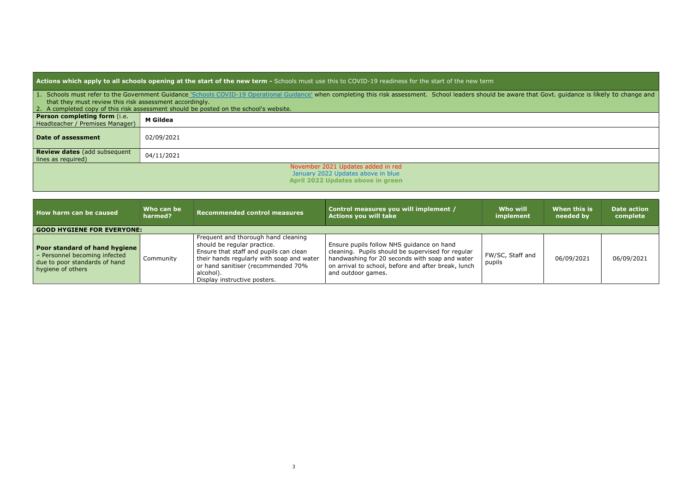Actions which apply to all schools opening at the start of the new term - Schools must use this to COVID-19 readiness for the start of the new term

- that they must review this risk assessment accordingly.
- 

| <b>Actions which apply to all schools opening at the start of the new term -</b> Schools must use this to COVID-19 readiness for the start of the new term |                                                                                                                                                                                                           |  |  |  |  |  |
|------------------------------------------------------------------------------------------------------------------------------------------------------------|-----------------------------------------------------------------------------------------------------------------------------------------------------------------------------------------------------------|--|--|--|--|--|
|                                                                                                                                                            | 1. Schools must refer to the Government Guidance 'Schools COVID-19 Operational Guidance' when completing this risk assessment. School leaders should be aware that Govt. guidance is likely to change and |  |  |  |  |  |
| that they must review this risk assessment accordingly.                                                                                                    |                                                                                                                                                                                                           |  |  |  |  |  |
|                                                                                                                                                            | 2. A completed copy of this risk assessment should be posted on the school's website.                                                                                                                     |  |  |  |  |  |
| <b>Person completing form (i.e.</b><br>Headteacher / Premises Manager)                                                                                     | <b>M</b> Gildea                                                                                                                                                                                           |  |  |  |  |  |
| Date of assessment                                                                                                                                         | 02/09/2021                                                                                                                                                                                                |  |  |  |  |  |
| <b>Review dates (add subsequent</b><br>lines as required)                                                                                                  | 04/11/2021                                                                                                                                                                                                |  |  |  |  |  |
|                                                                                                                                                            | November 2021 Updates added in red<br>January 2022 Updates above in blue<br>April 2022 Updates above in green                                                                                             |  |  |  |  |  |

| How harm can be caused                                                                                               | Who can be<br>harmed?             | <b>Recommended control measures</b>                                                                                                                                                                                                          | Control measures you will implement /<br><b>Actions you will take</b>                                                                                                                                                         | Who will<br>implement      | When this is<br>needed by | <b>Date action</b><br>complete |  |  |  |
|----------------------------------------------------------------------------------------------------------------------|-----------------------------------|----------------------------------------------------------------------------------------------------------------------------------------------------------------------------------------------------------------------------------------------|-------------------------------------------------------------------------------------------------------------------------------------------------------------------------------------------------------------------------------|----------------------------|---------------------------|--------------------------------|--|--|--|
|                                                                                                                      | <b>GOOD HYGIENE FOR EVERYONE:</b> |                                                                                                                                                                                                                                              |                                                                                                                                                                                                                               |                            |                           |                                |  |  |  |
| Poor standard of hand hygiene<br>- Personnel becoming infected<br>due to poor standards of hand<br>hygiene of others | Community                         | Frequent and thorough hand cleaning<br>should be regular practice.<br>Ensure that staff and pupils can clean<br>their hands regularly with soap and water<br>or hand sanitiser (recommended 70%<br>alcohol).<br>Display instructive posters. | Ensure pupils follow NHS guidance on hand<br>cleaning. Pupils should be supervised for regular<br>handwashing for 20 seconds with soap and water<br>on arrival to school, before and after break, lunch<br>and outdoor games. | FW/SC, Staff and<br>pupils | 06/09/2021                | 06/09/2021                     |  |  |  |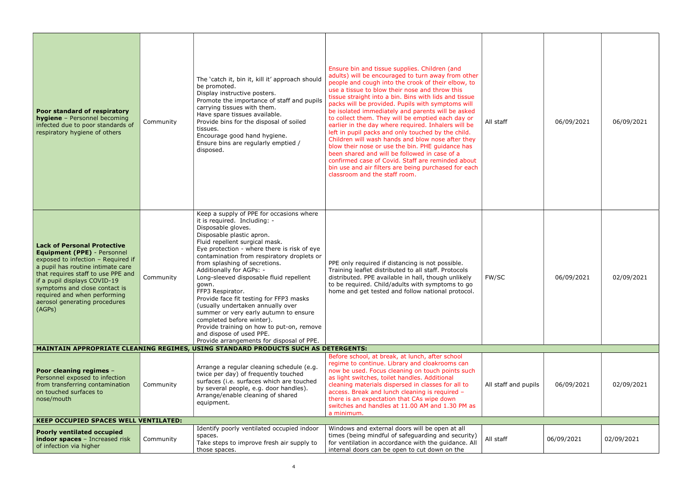| Poor standard of respiratory<br><b>hygiene</b> - Personnel becoming<br>infected due to poor standards of<br>respiratory hygiene of others                                                                                                                                                                                             | Community | The 'catch it, bin it, kill it' approach should<br>be promoted.<br>Display instructive posters.<br>Promote the importance of staff and pupils<br>carrying tissues with them.<br>Have spare tissues available.<br>Provide bins for the disposal of soiled<br>tissues.<br>Encourage good hand hygiene.<br>Ensure bins are regularly emptied /<br>disposed.                                                                                                                                                                                                                                                                                                                    | Ensure bin and tissue supplies. Children (and<br>adults) will be encouraged to turn away from other<br>people and cough into the crook of their elbow, to<br>use a tissue to blow their nose and throw this<br>tissue straight into a bin. Bins with lids and tissue<br>packs will be provided. Pupils with symptoms will<br>be isolated immediately and parents will be asked<br>to collect them. They will be emptied each day or<br>earlier in the day where required. Inhalers will be<br>left in pupil packs and only touched by the child.<br>Children will wash hands and blow nose after they<br>blow their nose or use the bin. PHE guidance has<br>been shared and will be followed in case of a<br>confirmed case of Covid. Staff are reminded about<br>bin use and air filters are being purchased for each<br>classroom and the staff room. | All staff            | 06/09/2021 | 06/09/2021 |
|---------------------------------------------------------------------------------------------------------------------------------------------------------------------------------------------------------------------------------------------------------------------------------------------------------------------------------------|-----------|-----------------------------------------------------------------------------------------------------------------------------------------------------------------------------------------------------------------------------------------------------------------------------------------------------------------------------------------------------------------------------------------------------------------------------------------------------------------------------------------------------------------------------------------------------------------------------------------------------------------------------------------------------------------------------|----------------------------------------------------------------------------------------------------------------------------------------------------------------------------------------------------------------------------------------------------------------------------------------------------------------------------------------------------------------------------------------------------------------------------------------------------------------------------------------------------------------------------------------------------------------------------------------------------------------------------------------------------------------------------------------------------------------------------------------------------------------------------------------------------------------------------------------------------------|----------------------|------------|------------|
| <b>Lack of Personal Protective</b><br><b>Equipment (PPE)</b> - Personnel<br>exposed to infection - Required if<br>a pupil has routine intimate care<br>that requires staff to use PPE and<br>if a pupil displays COVID-19<br>symptoms and close contact is<br>required and when performing<br>aerosol generating procedures<br>(AGPs) | Community | Keep a supply of PPE for occasions where<br>it is required. Including: -<br>Disposable gloves.<br>Disposable plastic apron.<br>Fluid repellent surgical mask.<br>Eye protection - where there is risk of eye<br>contamination from respiratory droplets or<br>from splashing of secretions.<br>Additionally for AGPs: -<br>Long-sleeved disposable fluid repellent<br>gown.<br>FFP3 Respirator.<br>Provide face fit testing for FFP3 masks<br>(usually undertaken annually over<br>summer or very early autumn to ensure<br>completed before winter).<br>Provide training on how to put-on, remove<br>and dispose of used PPE.<br>Provide arrangements for disposal of PPE. | PPE only required if distancing is not possible.<br>Training leaflet distributed to all staff. Protocols<br>distributed. PPE available in hall, though unlikely<br>to be required. Child/adults with symptoms to go<br>home and get tested and follow national protocol.                                                                                                                                                                                                                                                                                                                                                                                                                                                                                                                                                                                 | FW/SC                | 06/09/2021 | 02/09/2021 |
|                                                                                                                                                                                                                                                                                                                                       |           | <b>MAINTAIN APPROPRIATE CLEANING REGIMES, USING STANDARD PRODUCTS SUCH AS DETERGENTS:</b>                                                                                                                                                                                                                                                                                                                                                                                                                                                                                                                                                                                   |                                                                                                                                                                                                                                                                                                                                                                                                                                                                                                                                                                                                                                                                                                                                                                                                                                                          |                      |            |            |
| <b>Poor cleaning regimes -</b><br>Personnel exposed to infection<br>from transferring contamination<br>on touched surfaces to<br>nose/mouth                                                                                                                                                                                           | Community | Arrange a regular cleaning schedule (e.g.<br>twice per day) of frequently touched<br>surfaces (i.e. surfaces which are touched<br>by several people, e.g. door handles).<br>Arrange/enable cleaning of shared<br>equipment.                                                                                                                                                                                                                                                                                                                                                                                                                                                 | Before school, at break, at lunch, after school<br>regime to continue. Library and cloakrooms can<br>now be used. Focus cleaning on touch points such<br>as light switches, toilet handles. Additional<br>cleaning materials dispersed in classes for all to<br>access. Break and lunch cleaning is required -<br>there is an expectation that CAs wipe down<br>switches and handles at 11.00 AM and 1.30 PM as<br>a minimum.                                                                                                                                                                                                                                                                                                                                                                                                                            | All staff and pupils | 06/09/2021 | 02/09/2021 |
| <b>KEEP OCCUPIED SPACES WELL VENTILATED:</b>                                                                                                                                                                                                                                                                                          |           |                                                                                                                                                                                                                                                                                                                                                                                                                                                                                                                                                                                                                                                                             |                                                                                                                                                                                                                                                                                                                                                                                                                                                                                                                                                                                                                                                                                                                                                                                                                                                          |                      |            |            |
| <b>Poorly ventilated occupied</b><br>indoor spaces - Increased risk<br>of infection via higher                                                                                                                                                                                                                                        | Community | Identify poorly ventilated occupied indoor<br>spaces.<br>Take steps to improve fresh air supply to<br>those spaces.                                                                                                                                                                                                                                                                                                                                                                                                                                                                                                                                                         | Windows and external doors will be open at all<br>times (being mindful of safeguarding and security)<br>for ventilation in accordance with the guidance. All<br>internal doors can be open to cut down on the                                                                                                                                                                                                                                                                                                                                                                                                                                                                                                                                                                                                                                            | All staff            | 06/09/2021 | 02/09/2021 |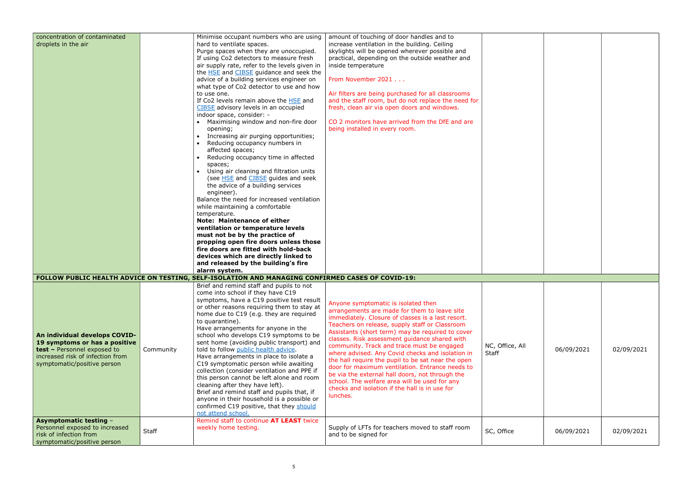| concentration of contaminated<br>droplets in the air                                                                                                             |           | Minimise occupant numbers who are using<br>hard to ventilate spaces.<br>Purge spaces when they are unoccupied.<br>If using Co2 detectors to measure fresh<br>air supply rate, refer to the levels given in<br>the <b>HSE</b> and <b>CIBSE</b> guidance and seek the<br>advice of a building services engineer on<br>what type of Co2 detector to use and how<br>to use one.<br>If Co2 levels remain above the HSE and<br>CIBSE advisory levels in an occupied<br>indoor space, consider: -<br>• Maximising window and non-fire door<br>opening;<br>• Increasing air purging opportunities;<br>Reducing occupancy numbers in<br>affected spaces;<br>Reducing occupancy time in affected<br>spaces;<br>Using air cleaning and filtration units<br>(see HSE and CIBSE guides and seek<br>the advice of a building services<br>engineer).<br>Balance the need for increased ventilation<br>while maintaining a comfortable<br>temperature.<br><b>Note: Maintenance of either</b><br>ventilation or temperature levels<br>must not be by the practice of<br>propping open fire doors unless those<br>fire doors are fitted with hold-back<br>devices which are directly linked to<br>and released by the building's fire | amount of touching of door handles and to<br>increase ventilation in the building. Ceiling<br>skylights will be opened wherever possible and<br>practical, depending on the outside weather and<br>inside temperature<br>From November 2021<br>Air filters are being purchased for all classrooms<br>and the staff room, but do not replace the need for<br>fresh, clean air via open doors and windows.<br>CO 2 monitors have arrived from the DfE and are<br>being installed in every room.                                                                                                                                                                                |                          |            |            |
|------------------------------------------------------------------------------------------------------------------------------------------------------------------|-----------|---------------------------------------------------------------------------------------------------------------------------------------------------------------------------------------------------------------------------------------------------------------------------------------------------------------------------------------------------------------------------------------------------------------------------------------------------------------------------------------------------------------------------------------------------------------------------------------------------------------------------------------------------------------------------------------------------------------------------------------------------------------------------------------------------------------------------------------------------------------------------------------------------------------------------------------------------------------------------------------------------------------------------------------------------------------------------------------------------------------------------------------------------------------------------------------------------------------------|------------------------------------------------------------------------------------------------------------------------------------------------------------------------------------------------------------------------------------------------------------------------------------------------------------------------------------------------------------------------------------------------------------------------------------------------------------------------------------------------------------------------------------------------------------------------------------------------------------------------------------------------------------------------------|--------------------------|------------|------------|
|                                                                                                                                                                  |           | alarm system.                                                                                                                                                                                                                                                                                                                                                                                                                                                                                                                                                                                                                                                                                                                                                                                                                                                                                                                                                                                                                                                                                                                                                                                                       |                                                                                                                                                                                                                                                                                                                                                                                                                                                                                                                                                                                                                                                                              |                          |            |            |
|                                                                                                                                                                  |           | FOLLOW PUBLIC HEALTH ADVICE ON TESTING, SELF-ISOLATION AND MANAGING CONFIRMED CASES OF COVID-19:                                                                                                                                                                                                                                                                                                                                                                                                                                                                                                                                                                                                                                                                                                                                                                                                                                                                                                                                                                                                                                                                                                                    |                                                                                                                                                                                                                                                                                                                                                                                                                                                                                                                                                                                                                                                                              |                          |            |            |
| An individual develops COVID-<br>19 symptoms or has a positive<br>test - Personnel exposed to<br>increased risk of infection from<br>symptomatic/positive person | Community | Brief and remind staff and pupils to not<br>come into school if they have C19<br>symptoms, have a C19 positive test result<br>or other reasons requiring them to stay at<br>home due to C19 (e.g. they are required<br>to quarantine).<br>Have arrangements for anyone in the<br>school who develops C19 symptoms to be<br>sent home (avoiding public transport) and<br>told to follow public health advice.<br>Have arrangements in place to isolate a<br>C19 symptomatic person while awaiting<br>collection (consider ventilation and PPE if<br>this person cannot be left alone and room<br>cleaning after they have left).<br>Brief and remind staff and pupils that, if<br>anyone in their household is a possible or<br>confirmed C19 positive, that they should<br>not attend school.<br>Remind staff to continue AT LEAST twice                                                                                                                                                                                                                                                                                                                                                                            | Anyone symptomatic is isolated then<br>arrangements are made for them to leave site<br>immediately. Closure of classes is a last resort.<br>Teachers on release, supply staff or Classroom<br>Assistants (short term) may be required to cover<br>classes. Risk assessment guidance shared with<br>community. Track and trace must be engaged<br>where advised. Any Covid checks and isolation in<br>the hall require the pupil to be sat near the open<br>door for maximum ventilation. Entrance needs to<br>be via the external hall doors, not through the<br>school. The welfare area will be used for any<br>checks and isolation if the hall is in use for<br>lunches. | NC, Office, All<br>Staff | 06/09/2021 | 02/09/2021 |
| <b>Asymptomatic testing -</b><br>Personnel exposed to increased<br>risk of infection from<br>symptomatic/positive person                                         | Staff     | weekly home testing.                                                                                                                                                                                                                                                                                                                                                                                                                                                                                                                                                                                                                                                                                                                                                                                                                                                                                                                                                                                                                                                                                                                                                                                                | Supply of LFTs for teachers moved to staff room<br>and to be signed for                                                                                                                                                                                                                                                                                                                                                                                                                                                                                                                                                                                                      | SC, Office               | 06/09/2021 | 02/09/2021 |

| NC, Office, All<br>Staff | 06/09/2021 | 02/09/2021 |
|--------------------------|------------|------------|
| SC, Office               | 06/09/2021 | 02/09/2021 |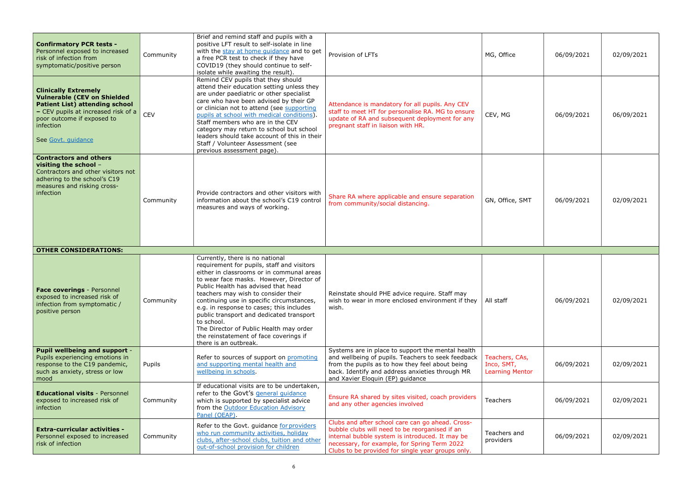| <b>Confirmatory PCR tests -</b><br>Personnel exposed to increased<br>risk of infection from<br>symptomatic/positive person                                                                                         | Community  | Brief and remind staff and pupils with a<br>positive LFT result to self-isolate in line<br>with the stay at home quidance and to get<br>a free PCR test to check if they have<br>COVID19 (they should continue to self-<br>isolate while awaiting the result).                                                                                                                                                                                                       | Provision of LFTs                                                                                                                                                                                                                                 | MG, Office                                             | 06/09/2021 | 02/09/2021 |
|--------------------------------------------------------------------------------------------------------------------------------------------------------------------------------------------------------------------|------------|----------------------------------------------------------------------------------------------------------------------------------------------------------------------------------------------------------------------------------------------------------------------------------------------------------------------------------------------------------------------------------------------------------------------------------------------------------------------|---------------------------------------------------------------------------------------------------------------------------------------------------------------------------------------------------------------------------------------------------|--------------------------------------------------------|------------|------------|
| <b>Clinically Extremely</b><br><b>Vulnerable (CEV on Shielded</b><br><b>Patient List) attending school</b><br>- CEV pupils at increased risk of a<br>poor outcome if exposed to<br>infection<br>See Govt. quidance | <b>CEV</b> | Remind CEV pupils that they should<br>attend their education setting unless they<br>are under paediatric or other specialist<br>care who have been advised by their GP<br>or clinician not to attend (see supporting<br>pupils at school with medical conditions)<br>Staff members who are in the CEV<br>category may return to school but school<br>leaders should take account of this in their<br>Staff / Volunteer Assessment (see<br>previous assessment page). | Attendance is mandatory for all pupils. Any CEV<br>staff to meet HT for personalise RA. MG to ensure<br>update of RA and subsequent deployment for any<br>pregnant staff in liaison with HR.                                                      | CEV, MG                                                | 06/09/2021 | 06/09/2021 |
| <b>Contractors and others</b><br>visiting the school -<br>Contractors and other visitors not<br>adhering to the school's C19<br>measures and risking cross-<br>infection                                           | Community  | Provide contractors and other visitors with<br>information about the school's C19 control<br>measures and ways of working.                                                                                                                                                                                                                                                                                                                                           | Share RA where applicable and ensure separation<br>from community/social distancing.                                                                                                                                                              | GN, Office, SMT                                        | 06/09/2021 | 02/09/2021 |
| <b>OTHER CONSIDERATIONS:</b>                                                                                                                                                                                       |            |                                                                                                                                                                                                                                                                                                                                                                                                                                                                      |                                                                                                                                                                                                                                                   |                                                        |            |            |
| Face coverings - Personnel<br>exposed to increased risk of<br>infection from symptomatic /<br>positive person                                                                                                      | Community  | Currently, there is no national<br>requirement for pupils, staff and visitors<br>either in classrooms or in communal areas<br>to wear face masks. However, Director of<br>Public Health has advised that head<br>teachers may wish to consider their<br>continuing use in specific circumstances,<br>e.g. in response to cases; this includes<br>public transport and dedicated transport                                                                            | Reinstate should PHE advice require. Staff may<br>wish to wear in more enclosed environment if they<br>wish.                                                                                                                                      | All staff                                              | 06/09/2021 | 02/09/2021 |
|                                                                                                                                                                                                                    |            | to school.<br>The Director of Public Health may order<br>the reinstatement of face coverings if<br>there is an outbreak.                                                                                                                                                                                                                                                                                                                                             |                                                                                                                                                                                                                                                   |                                                        |            |            |
| <b>Pupil wellbeing and support -</b><br>Pupils experiencing emotions in<br>response to the C19 pandemic,<br>such as anxiety, stress or low<br>mood                                                                 | Pupils     | Refer to sources of support on promoting<br>and supporting mental health and<br>wellbeing in schools.                                                                                                                                                                                                                                                                                                                                                                | Systems are in place to support the mental health<br>and wellbeing of pupils. Teachers to seek feedback<br>from the pupils as to how they feel about being<br>back. Identify and address anxieties through MR<br>and Xavier Eloquin (EP) guidance | Teachers, CAs,<br>Inco, SMT,<br><b>Learning Mentor</b> | 06/09/2021 | 02/09/2021 |
| <b>Educational visits - Personnel</b><br>exposed to increased risk of<br>infection                                                                                                                                 | Community  | If educational visits are to be undertaken,<br>refer to the Govt's general guidance<br>which is supported by specialist advice<br>from the Outdoor Education Advisory<br>Panel (OEAP).                                                                                                                                                                                                                                                                               | Ensure RA shared by sites visited, coach providers<br>and any other agencies involved                                                                                                                                                             | Teachers                                               | 06/09/2021 | 02/09/2021 |